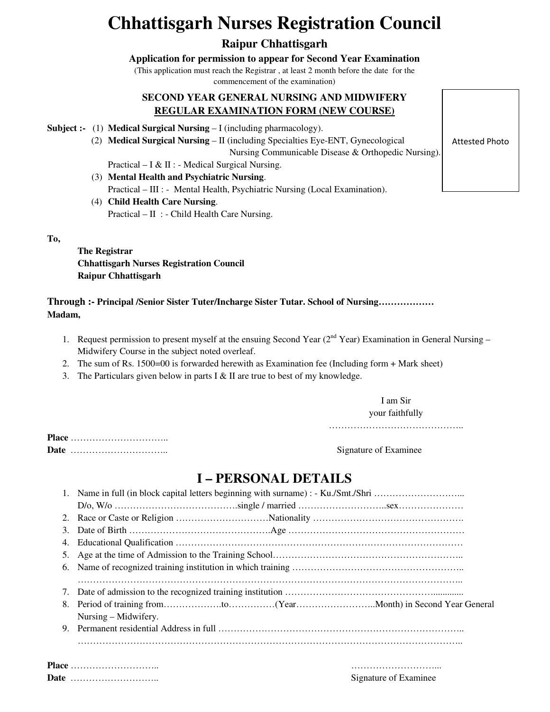# **Chhattisgarh Nurses Registration Council**

### **Raipur Chhattisgarh**

**Application for permission to appear for Second Year Examination**

(This application must reach the Registrar , at least 2 month before the date for the

commencement of the examination)

### **SECOND YEAR GENERAL NURSING AND MIDWIFERY REGULAR EXAMINATION FORM (NEW COURSE)**

- **Subject :-** (1) **Medical Surgical Nursing** I (including pharmacology).
	- (2) **Medical Surgical Nursing** II (including Specialties Eye-ENT, Gynecological Nursing Communicable Disease & Orthopedic Nursing).
		- Practical I & II : Medical Surgical Nursing.
	- (3) **Mental Health and Psychiatric Nursing**. Practical – III : - Mental Health, Psychiatric Nursing (Local Examination).
	- (4) **Child Health Care Nursing**. Practical – II : - Child Health Care Nursing.

**To,** 

**The Registrar Chhattisgarh Nurses Registration Council Raipur Chhattisgarh** 

**Through :- Principal /Senior Sister Tuter/Incharge Sister Tutar. School of Nursing……………… Madam,** 

- 1. Request permission to present myself at the ensuing Second Year ( $2<sup>nd</sup>$  Year) Examination in General Nursing Midwifery Course in the subject noted overleaf.
- 2. The sum of Rs. 1500=00 is forwarded herewith as Examination fee (Including form + Mark sheet)
- 3. The Particulars given below in parts I & II are true to best of my knowledge.

I am Sir your faithfully

……………………………………………

**Place** ………………………….. **Date** ………………………….. Signature of Examinee

## **I – PERSONAL DETAILS**

| 3. |                      |
|----|----------------------|
|    |                      |
|    |                      |
|    |                      |
|    |                      |
| 7. |                      |
|    |                      |
|    | Nursing – Midwifery. |
|    |                      |
|    |                      |

**Place** ……………………….. ………………………... **Signature of Examinee** 

Attested Photo